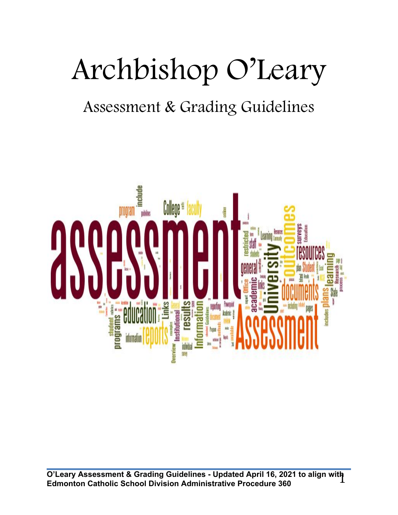# Archbishop O'Leary

# Assessment & Grading Guidelines

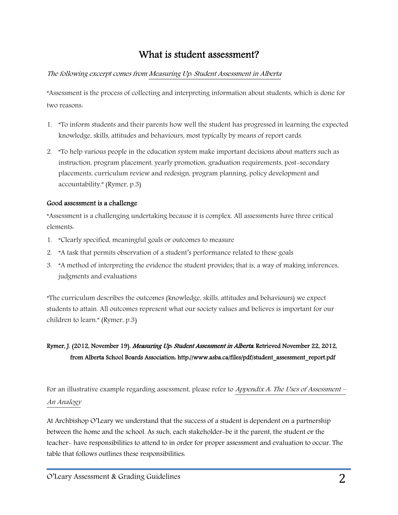# What is student assessment?

#### The following excerpt comes from Measuring Up: Student Assessment in Alberta

"Assessment is the process of collecting and interpreting information about students, which is done for two reasons:

- 1. "To inform students and their parents how well the student has progressed in learning the expected knowledge, skills, attitudes and behaviours, most typically by means of report cards.
- 2. "To help various people in the education system make important decisions about matters such as instruction, program placement, yearly promotion, graduation requirements, post-secondary placements, curriculum review and redesign, program planning, policy development and accountability." (Rymer, p.3)

#### Good assessment is a challenge

"Assessment is a challenging undertaking because it is complex. All assessments have three critical elements:

- 1. "Clearly specified, meaningful goals or outcomes to measure
- 2. "A task that permits observation of a student's performance related to these goals
- 3. "A method of interpreting the evidence the student provides; that is, a way of making inferences, judgments and evaluations

"The curriculum describes the outcomes (knowledge, skills, attitudes and behaviours) we expect students to attain. All outcomes represent what our society values and believes is important for our children to learn." (Rymer, p.3)

## Rymer, J. (2012, November 19). Measuring Up: Student Assessment in Alberta. Retrieved November 22, 2012, from Alberta School Boards Association: http://www.asba.ca/files/pdf/student\_assessment\_report.pdf

For an illustrative example regarding assessment, please refer to *Appendix A. The Uses of Assessment* – An Analogy

At Archbishop O'Leary we understand that the success of a student is dependent on a partnership between the home and the school. As such, each stakeholder-be it the parent, the student or the teacher- have responsibilities to attend to in order for proper assessment and evaluation to occur. The table that follows outlines these responsibilities: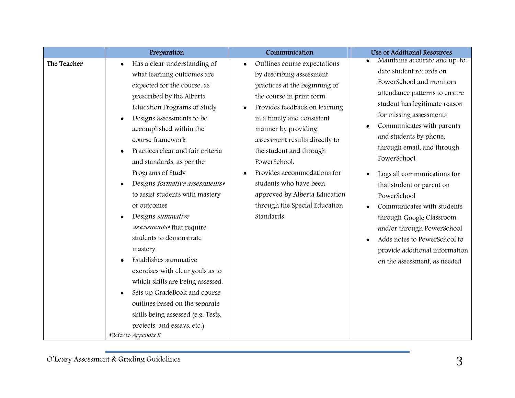|             | Preparation                                                                                                                                                                                                                                                                                                                                                                                                                                                                                                                                                                                                                                                                                                                                                                                                      | Communication                                                                                                                                                                                                                                                                                                                                                                                                                                 | <b>Use of Additional Resources</b>                                                                                                                                                                                                                                                                                                                                                                                                                                                                                                                         |
|-------------|------------------------------------------------------------------------------------------------------------------------------------------------------------------------------------------------------------------------------------------------------------------------------------------------------------------------------------------------------------------------------------------------------------------------------------------------------------------------------------------------------------------------------------------------------------------------------------------------------------------------------------------------------------------------------------------------------------------------------------------------------------------------------------------------------------------|-----------------------------------------------------------------------------------------------------------------------------------------------------------------------------------------------------------------------------------------------------------------------------------------------------------------------------------------------------------------------------------------------------------------------------------------------|------------------------------------------------------------------------------------------------------------------------------------------------------------------------------------------------------------------------------------------------------------------------------------------------------------------------------------------------------------------------------------------------------------------------------------------------------------------------------------------------------------------------------------------------------------|
| The Teacher | Has a clear understanding of<br>$\bullet$<br>what learning outcomes are<br>expected for the course, as<br>prescribed by the Alberta<br>Education Programs of Study<br>Designs assessments to be<br>$\bullet$<br>accomplished within the<br>course framework<br>Practices clear and fair criteria<br>and standards, as per the<br>Programs of Study<br>Designs formative assessments<br>to assist students with mastery<br>of outcomes<br>Designs summative<br>assessments • that require<br>students to demonstrate<br>mastery<br>Establishes summative<br>exercises with clear goals as to<br>which skills are being assessed.<br>Sets up GradeBook and course<br>outlines based on the separate<br>skills being assessed (e.g. Tests,<br>projects, and essays, etc.)<br>$\triangle$ Refer to <i>Appendix B</i> | Outlines course expectations<br>$\bullet$<br>by describing assessment<br>practices at the beginning of<br>the course in print form<br>Provides feedback on learning<br>in a timely and consistent<br>manner by providing<br>assessment results directly to<br>the student and through<br>PowerSchool.<br>Provides accommodations for<br>students who have been<br>approved by Alberta Education<br>through the Special Education<br>Standards | Maintains accurate and up-to-<br>date student records on<br>PowerSchool and monitors<br>attendance patterns to ensure<br>student has legitimate reason<br>for missing assessments<br>Communicates with parents<br>and students by phone,<br>through email, and through<br>PowerSchool<br>Logs all communications for<br>that student or parent on<br>PowerSchool<br>Communicates with students<br>through Google Classroom<br>and/or through PowerSchool<br>Adds notes to PowerSchool to<br>provide additional information<br>on the assessment, as needed |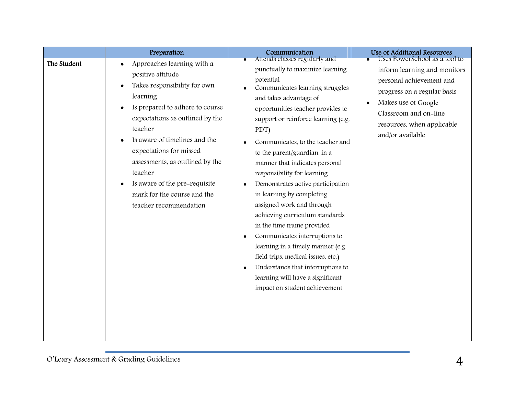|             | Preparation                                                                                                                                                                                                                                                                                                                                                                                                             | Communication                                                                                                                                                                                                                                                                                                                                                                                                                                                                                                                                                                                                                                                                                                                                            | Use of Additional Resources                                                                                                                                                                                                             |
|-------------|-------------------------------------------------------------------------------------------------------------------------------------------------------------------------------------------------------------------------------------------------------------------------------------------------------------------------------------------------------------------------------------------------------------------------|----------------------------------------------------------------------------------------------------------------------------------------------------------------------------------------------------------------------------------------------------------------------------------------------------------------------------------------------------------------------------------------------------------------------------------------------------------------------------------------------------------------------------------------------------------------------------------------------------------------------------------------------------------------------------------------------------------------------------------------------------------|-----------------------------------------------------------------------------------------------------------------------------------------------------------------------------------------------------------------------------------------|
| The Student | Approaches learning with a<br>$\bullet$<br>positive attitude<br>Takes responsibility for own<br>$\bullet$<br>learning<br>Is prepared to adhere to course<br>$\bullet$<br>expectations as outlined by the<br>teacher<br>Is aware of timelines and the<br>expectations for missed<br>assessments, as outlined by the<br>teacher<br>Is aware of the pre-requisite<br>mark for the course and the<br>teacher recommendation | Attends classes regularly and<br>punctually to maximize learning<br>potential<br>Communicates learning struggles<br>and takes advantage of<br>opportunities teacher provides to<br>support or reinforce learning (e.g.<br>PDT)<br>Communicates, to the teacher and<br>to the parent/guardian, in a<br>manner that indicates personal<br>responsibility for learning<br>Demonstrates active participation<br>in learning by completing<br>assigned work and through<br>achieving curriculum standards<br>in the time frame provided<br>Communicates interruptions to<br>learning in a timely manner (e.g.<br>field trips, medical issues, etc.)<br>Understands that interruptions to<br>learning will have a significant<br>impact on student achievement | Uses PowerSchool as a tool to<br>inform learning and monitors<br>personal achievement and<br>progress on a regular basis<br>Makes use of Google<br>$\bullet$<br>Classroom and on-line<br>resources, when applicable<br>and/or available |

 $\overline{\phantom{a}}$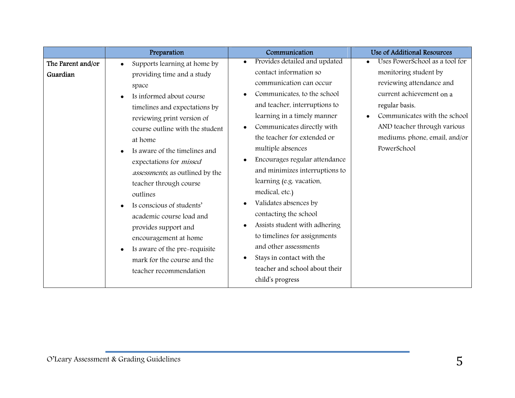| Uses PowerSchool as a tool for<br>Provides detailed and updated<br>$\bullet$<br>$\bullet$<br>The Parent and/or<br>Supports learning at home by<br>contact information so<br>monitoring student by<br>Guardian<br>providing time and a study<br>communication can occur<br>reviewing attendance and<br>space<br>Communicates, to the school<br>current achievement on a<br>Is informed about course<br>and teacher, interruptions to<br>regular basis.<br>timelines and expectations by<br>learning in a timely manner<br>Communicates with the school<br>reviewing print version of<br>Communicates directly with<br>AND teacher through various<br>course outline with the student<br>the teacher for extended or<br>mediums. phone, email, and/or<br>at home<br>multiple absences<br>PowerSchool<br>Is aware of the timelines and<br>Encourages regular attendance<br>expectations for <i>missed</i><br>and minimizes interruptions to<br>assessments, as outlined by the<br>learning (e.g. vacation,<br>teacher through course<br>medical, etc.)<br>outlines<br>Validates absences by<br>Is conscious of students'<br>contacting the school<br>academic course load and<br>Assists student with adhering<br>provides support and |
|-------------------------------------------------------------------------------------------------------------------------------------------------------------------------------------------------------------------------------------------------------------------------------------------------------------------------------------------------------------------------------------------------------------------------------------------------------------------------------------------------------------------------------------------------------------------------------------------------------------------------------------------------------------------------------------------------------------------------------------------------------------------------------------------------------------------------------------------------------------------------------------------------------------------------------------------------------------------------------------------------------------------------------------------------------------------------------------------------------------------------------------------------------------------------------------------------------------------------------------|
| to timelines for assignments<br>encouragement at home<br>and other assessments<br>Is aware of the pre-requisite<br>Stays in contact with the<br>mark for the course and the<br>teacher and school about their<br>teacher recommendation<br>child's progress                                                                                                                                                                                                                                                                                                                                                                                                                                                                                                                                                                                                                                                                                                                                                                                                                                                                                                                                                                         |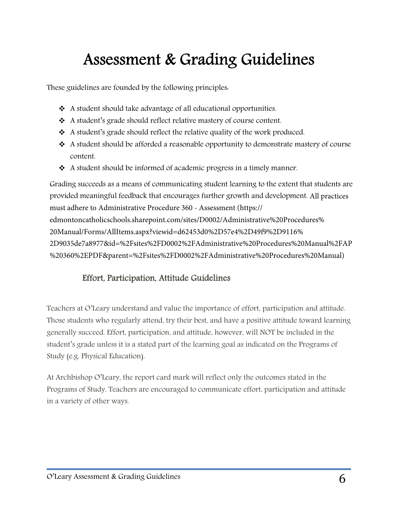# Assessment & Grading Guidelines

These guidelines are founded by the following principles:

- A student should take advantage of all educational opportunities.
- A student's grade should reflect relative mastery of course content.
- A student's grade should reflect the relative quality of the work produced.
- $\leftrightarrow$  A student should be afforded a reasonable opportunity to demonstrate mastery of course content.
- A student should be informed of academic progress in a timely manner.

Grading succeeds as a means of communicating student learning to the extent that students are provided meaningful feedback that encourages further growth and development. All practices must adhere to Administrative Procedure 360 - Assessment (https:// edmontoncatholicschools.sharepoint.com/sites/D0002/Administrative%20Procedures% 20Manual/Forms/AllItems.aspx?viewid=d62453d0%2D57e4%2D49f9%2D9116% 2D9035de7a8977&id=%2Fsites%2FD0002%2FAdministrative%20Procedures%20Manual%2FAP %20360%2EPDF&parent=%2Fsites%2FD0002%2FAdministrative%20Procedures%20Manual)

# Effort, Participation, Attitude Guidelines

Teachers at O'Leary understand and value the importance of effort, participation and attitude. Those students who regularly attend, try their best, and have a positive attitude toward learning generally succeed. Effort, participation, and attitude, however, will NOT be included in the student's grade unless it is a stated part of the learning goal as indicated on the Programs of Study (e.g. Physical Education).

At Archbishop O'Leary, the report card mark will reflect only the outcomes stated in the Programs of Study. Teachers are encouraged to communicate effort, participation and attitude in a variety of other ways.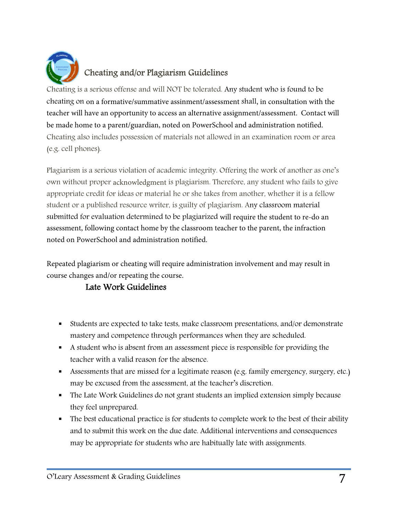

# Cheating and/or Plagiarism Guidelines

Cheating is a serious offense and will NOT be tolerated. Any student who is found to be cheating on on a formative/summative assinment/assessment shall, in consultation with the teacher will have an opportunity to access an alternative assignment/assessment. Contact will be made home to a parent/guardian, noted on PowerSchool and administration notified. Cheating also includes possession of materials not allowed in an examination room or area (e.g. cell phones).

Plagiarism is a serious violation of academic integrity. Offering the work of another as one's own without proper acknowledgment is plagiarism. Therefore, any student who fails to give appropriate credit for ideas or material he or she takes from another, whether it is a fellow student or a published resource writer, is guilty of plagiarism. Any classroom material submitted for evaluation determined to be plagiarized will require the student to re-do an assessment, following contact home by the classroom teacher to the parent, the infraction noted on PowerSchool and administration notified.

Repeated plagiarism or cheating will require administration involvement and may result in course changes and/or repeating the course.

# Late Work Guidelines

- Students are expected to take tests, make classroom presentations, and/or demonstrate mastery and competence through performances when they are scheduled.
- A student who is absent from an assessment piece is responsible for providing the teacher with a valid reason for the absence.
- Assessments that are missed for a legitimate reason (e.g. family emergency, surgery, etc.) may be excused from the assessment, at the teacher's discretion.
- The Late Work Guidelines do not grant students an implied extension simply because they feel unprepared.
- The best educational practice is for students to complete work to the best of their ability and to submit this work on the due date. Additional interventions and consequences may be appropriate for students who are habitually late with assignments.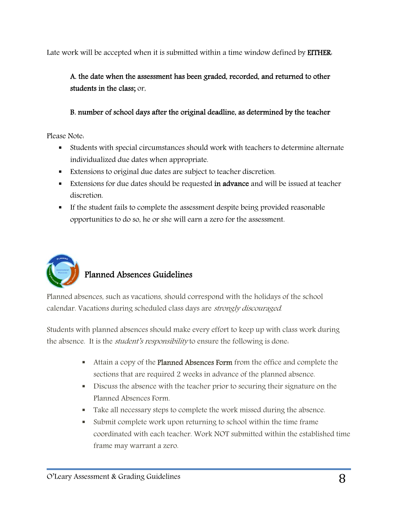Late work will be accepted when it is submitted within a time window defined by  $EITHER<sub>i</sub>$ 

A. the date when the assessment has been graded, recorded, and returned to other students in the class; or,

## B. number of school days after the original deadline, as determined by the teacher

Please Note:

- Students with special circumstances should work with teachers to determine alternate individualized due dates when appropriate.
- Extensions to original due dates are subject to teacher discretion.
- Extensions for due dates should be requested in advance and will be issued at teacher discretion.
- If the student fails to complete the assessment despite being provided reasonable opportunities to do so, he or she will earn a zero for the assessment.



# Planned Absences Guidelines

Planned absences, such as vacations, should correspond with the holidays of the school calendar. Vacations during scheduled class days are strongly discouraged.

Students with planned absences should make every effort to keep up with class work during the absence. It is the *student's responsibility* to ensure the following is done.

- Attain a copy of the **Planned Absences Form** from the office and complete the sections that are required 2 weeks in advance of the planned absence.
- Discuss the absence with the teacher prior to securing their signature on the Planned Absences Form.
- Take all necessary steps to complete the work missed during the absence.
- Submit complete work upon returning to school within the time frame coordinated with each teacher. Work NOT submitted within the established time frame may warrant a zero.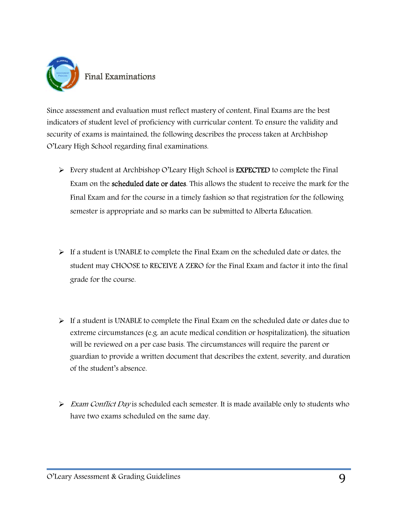

Since assessment and evaluation must reflect mastery of content, Final Exams are the best indicators of student level of proficiency with curricular content. To ensure the validity and security of exams is maintained, the following describes the process taken at Archbishop O'Leary High School regarding final examinations.

- Every student at Archbishop O'Leary High School is **EXPECTED** to complete the Final Exam on the scheduled date or dates. This allows the student to receive the mark for the Final Exam and for the course in a timely fashion so that registration for the following semester is appropriate and so marks can be submitted to Alberta Education.
- $\triangleright$  If a student is UNABLE to complete the Final Exam on the scheduled date or dates, the student may CHOOSE to RECEIVE A ZERO for the Final Exam and factor it into the final grade for the course.
- $\triangleright$  If a student is UNABLE to complete the Final Exam on the scheduled date or dates due to extreme circumstances (e.g. an acute medical condition or hospitalization), the situation will be reviewed on a per case basis. The circumstances will require the parent or guardian to provide a written document that describes the extent, severity, and duration of the student's absence.
- $\triangleright$  *Exam Conflict Day* is scheduled each semester. It is made available only to students who have two exams scheduled on the same day.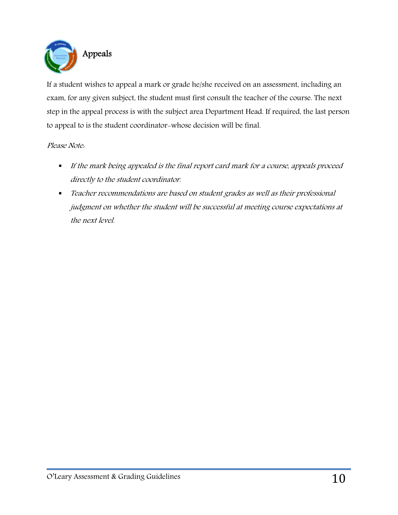

If a student wishes to appeal a mark or grade he/she received on an assessment, including an exam, for any given subject, the student must first consult the teacher of the course. The next step in the appeal process is with the subject area Department Head. If required, the last person to appeal to is the student coordinator-whose decision will be final.

#### Please Note:

- If the mark being appealed is the final report card mark for a course, appeals proceed directly to the student coordinator.
- **Teacher recommendations are based on student grades as well as their professional** judgment on whether the student will be successful at meeting course expectations at the next level.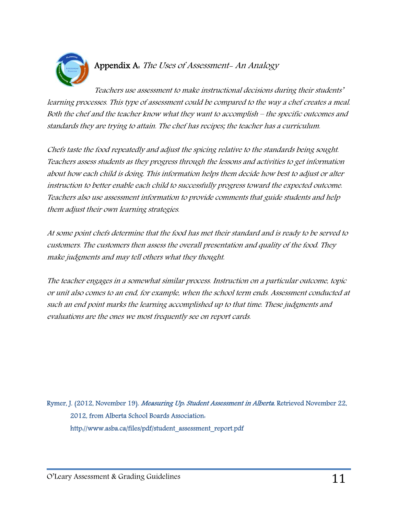

Teachers use assessment to make instructional decisions during their students' learning processes. This type of assessment could be compared to the way a chef creates a meal. Both the chef and the teacher know what they want to accomplish – the specific outcomes and standards they are trying to attain. The chef has recipes; the teacher has a curriculum.

Chefs taste the food repeatedly and adjust the spicing relative to the standards being sought. Teachers assess students as they progress through the lessons and activities to get information about how each child is doing. This information helps them decide how best to adjust or alter instruction to better enable each child to successfully progress toward the expected outcome. Teachers also use assessment information to provide comments that guide students and help them adjust their own learning strategies.

At some point chefs determine that the food has met their standard and is ready to be served to customers. The customers then assess the overall presentation and quality of the food. They make judgments and may tell others what they thought.

The teacher engages in a somewhat similar process. Instruction on a particular outcome, topic or unit also comes to an end, for example, when the school term ends. Assessment conducted at such an end point marks the learning accomplished up to that time. These judgments and evaluations are the ones we most frequently see on report cards.

Rymer, J. (2012, November 19). Measuring Up: Student Assessment in Alberta. Retrieved November 22, 2012, from Alberta School Boards Association: http://www.asba.ca/files/pdf/student\_assessment\_report.pdf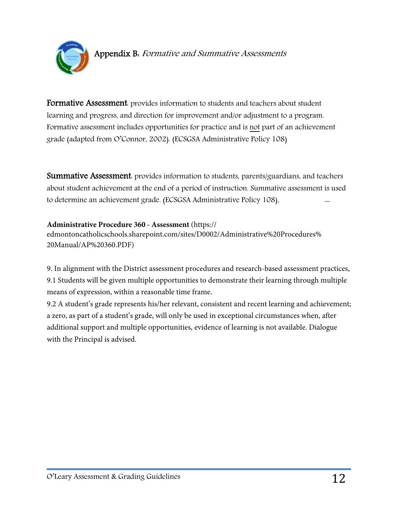

Formative Assessment. provides information to students and teachers about student learning and progress, and direction for improvement and/or adjustment to a program. Formative assessment includes opportunities for practice and is not part of an achievement grade (adapted from O'Connor, 2002). (ECSGSA Administrative Policy 108)

**Summative Assessment**: provides information to students, parents/guardians, and teachers about student achievement at the end of a period of instruction. Summative assessment is used to determine an achievement grade. (ECSGSA Administrative Policy 108).

#### **Administrative Procedure 360 - Assessment** (https://

edmontoncatholicschools.sharepoint.com/sites/D0002/Administrative%20Procedures% 20Manual/AP%20360.PDF)

9. In alignment with the District assessment procedures and research-based assessment practices, 9.1 Students will be given multiple opportunities to demonstrate their learning through multiple means of expression, within a reasonable time frame.

9.2 A student's grade represents his/her relevant, consistent and recent learning and achievement; a zero, as part of a student's grade, will only be used in exceptional circumstances when, after additional support and multiple opportunities, evidence of learning is not available. Dialogue with the Principal is advised.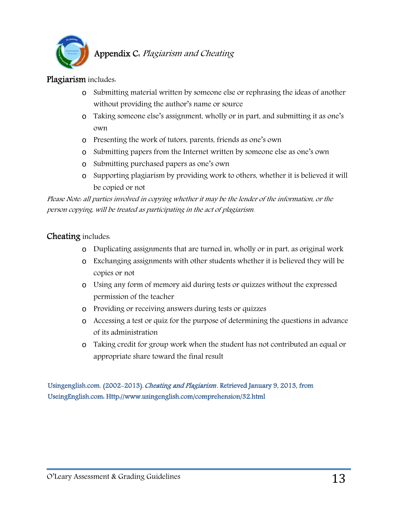

Appendix C. Plagiarism and Cheating

## Plagiarism includes:

- o Submitting material written by someone else or rephrasing the ideas of another without providing the author's name or source
- o Taking someone else's assignment, wholly or in part, and submitting it as one's own
- o Presenting the work of tutors, parents, friends as one's own
- o Submitting papers from the Internet written by someone else as one's own
- o Submitting purchased papers as one's own
- o Supporting plagiarism by providing work to others, whether it is believed it will be copied or not

Please Note: all parties involved in copying whether it may be the lender of the information, or the person copying, will be treated as participating in the act of plagiarism.

## Cheating includes:

- o Duplicating assignments that are turned in, wholly or in part, as original work
- o Exchanging assignments with other students whether it is believed they will be copies or not
- o Using any form of memory aid during tests or quizzes without the expressed permission of the teacher
- o Providing or receiving answers during tests or quizzes
- o Accessing a test or quiz for the purpose of determining the questions in advance of its administration
- o Taking credit for group work when the student has not contributed an equal or appropriate share toward the final result

Usingenglish.com. (2002-2013). Cheating and Plagiarism. Retrieved January 9, 2013, from UseingEnglish.com: Http://www.usingenglish.com/comprehension/32.html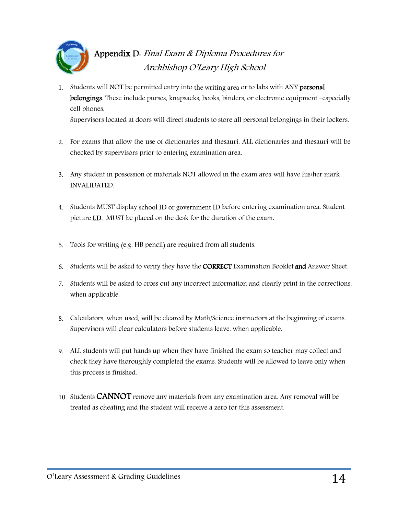

# Appendix D: Final Exam & Diploma Procedures for Archbishop O'Leary High School

1. Students will NOT be permitted entry into the writing area or to labs with ANY personal belongings. These include purses, knapsacks, books, binders, or electronic equipment -especially cell phones.

Supervisors located at doors will direct students to store all personal belongings in their lockers.

- 2. For exams that allow the use of dictionaries and thesauri, ALL dictionaries and thesauri will be checked by supervisors prior to entering examination area.
- 3. Any student in possession of materials NOT allowed in the exam area will have his/her mark INVALIDATED.
- 4. Students MUST display school ID or government ID before entering examination area. Student picture I.D. MUST be placed on the desk for the duration of the exam.
- 5. Tools for writing (e.g. HB pencil) are required from all students.
- 6. Students will be asked to verify they have the CORRECT Examination Booklet and Answer Sheet.
- 7. Students will be asked to cross out any incorrect information and clearly print in the corrections, when applicable.
- 8. Calculators, when used, will be cleared by Math/Science instructors at the beginning of exams. Supervisors will clear calculators before students leave, when applicable.
- 9. ALL students will put hands up when they have finished the exam so teacher may collect and check they have thoroughly completed the exams. Students will be allowed to leave only when this process is finished.
- 10. Students **CANNOT** remove any materials from any examination area. Any removal will be treated as cheating and the student will receive a zero for this assessment.